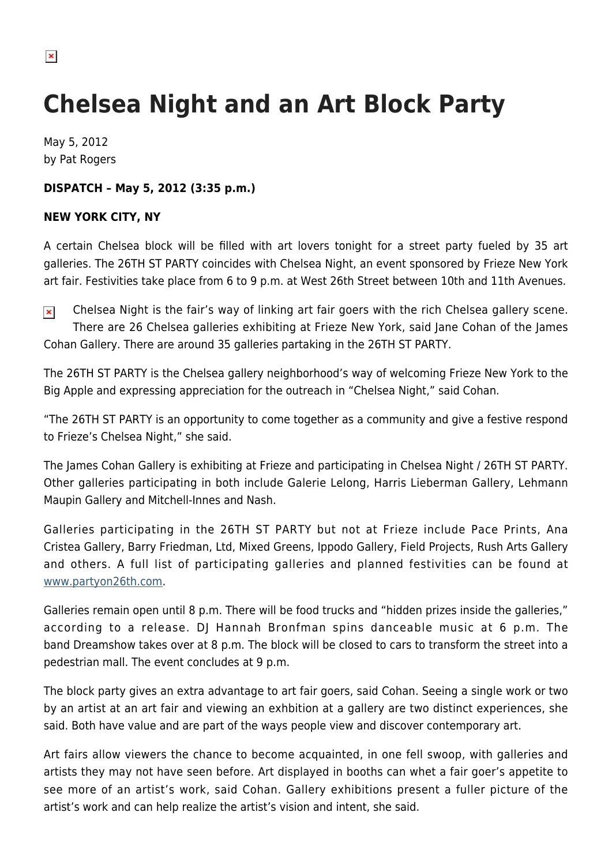## **Chelsea Night and an Art Block Party**

May 5, 2012 by Pat Rogers

## **DISPATCH – May 5, 2012 (3:35 p.m.)**

## **NEW YORK CITY, NY**

A certain Chelsea block will be filled with art lovers tonight for a street party fueled by 35 art galleries. The 26TH ST PARTY coincides with Chelsea Night, an event sponsored by Frieze New York art fair. Festivities take place from 6 to 9 p.m. at West 26th Street between 10th and 11th Avenues.

Chelsea Night is the fair's way of linking art fair goers with the rich Chelsea gallery scene.  $\pmb{\times}$ There are 26 Chelsea galleries exhibiting at Frieze New York, said Jane Cohan of the James Cohan Gallery. There are around 35 galleries partaking in the 26TH ST PARTY.

The 26TH ST PARTY is the Chelsea gallery neighborhood's way of welcoming Frieze New York to the Big Apple and expressing appreciation for the outreach in "Chelsea Night," said Cohan.

"The 26TH ST PARTY is an opportunity to come together as a community and give a festive respond to Frieze's Chelsea Night," she said.

The James Cohan Gallery is exhibiting at Frieze and participating in Chelsea Night / 26TH ST PARTY. Other galleries participating in both include Galerie Lelong, Harris Lieberman Gallery, Lehmann Maupin Gallery and Mitchell-Innes and Nash.

Galleries participating in the 26TH ST PARTY but not at Frieze include Pace Prints, Ana Cristea Gallery, Barry Friedman, Ltd, Mixed Greens, Ippodo Gallery, Field Projects, Rush Arts Gallery and others. A full list of participating galleries and planned festivities can be found at [www.partyon26th.com](http://www.partyon26th.com).

Galleries remain open until 8 p.m. There will be food trucks and "hidden prizes inside the galleries," according to a release. DJ Hannah Bronfman spins danceable music at 6 p.m. The band Dreamshow takes over at 8 p.m. The block will be closed to cars to transform the street into a pedestrian mall. The event concludes at 9 p.m.

The block party gives an extra advantage to art fair goers, said Cohan. Seeing a single work or two by an artist at an art fair and viewing an exhbition at a gallery are two distinct experiences, she said. Both have value and are part of the ways people view and discover contemporary art.

Art fairs allow viewers the chance to become acquainted, in one fell swoop, with galleries and artists they may not have seen before. Art displayed in booths can whet a fair goer's appetite to see more of an artist's work, said Cohan. Gallery exhibitions present a fuller picture of the artist's work and can help realize the artist's vision and intent, she said.